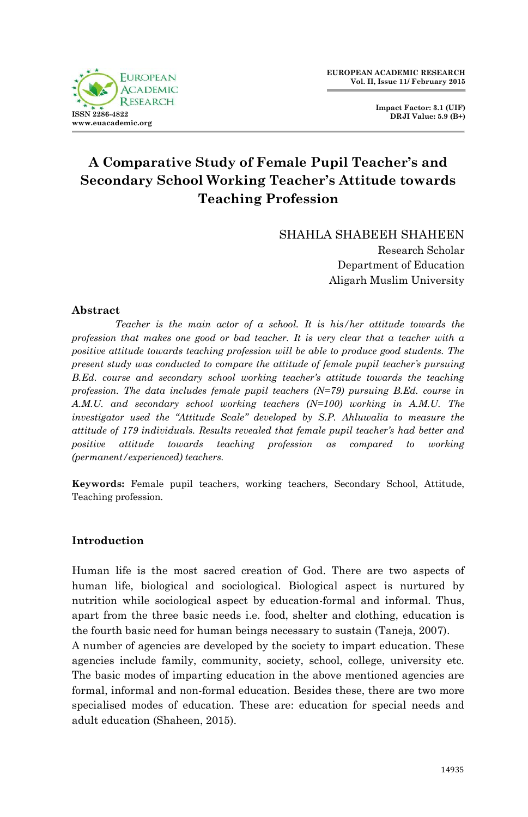

# **A Comparative Study of Female Pupil Teacher's and Secondary School Working Teacher's Attitude towards Teaching Profession**

SHAHLA SHABEEH SHAHEEN Research Scholar Department of Education Aligarh Muslim University

## **Abstract**

*Teacher is the main actor of a school. It is his/her attitude towards the profession that makes one good or bad teacher. It is very clear that a teacher with a positive attitude towards teaching profession will be able to produce good students. The present study was conducted to compare the attitude of female pupil teacher's pursuing B.Ed. course and secondary school working teacher's attitude towards the teaching profession. The data includes female pupil teachers (N=79) pursuing B.Ed. course in A.M.U. and secondary school working teachers (N=100) working in A.M.U. The investigator used the "Attitude Scale" developed by S.P. Ahluwalia to measure the attitude of 179 individuals. Results revealed that female pupil teacher's had better and positive attitude towards teaching profession as compared to working (permanent/experienced) teachers.*

**Keywords:** Female pupil teachers, working teachers, Secondary School, Attitude, Teaching profession.

## **Introduction**

Human life is the most sacred creation of God. There are two aspects of human life, biological and sociological. Biological aspect is nurtured by nutrition while sociological aspect by education-formal and informal. Thus, apart from the three basic needs i.e. food, shelter and clothing, education is the fourth basic need for human beings necessary to sustain (Taneja, 2007).

A number of agencies are developed by the society to impart education. These agencies include family, community, society, school, college, university etc. The basic modes of imparting education in the above mentioned agencies are formal, informal and non-formal education. Besides these, there are two more specialised modes of education. These are: education for special needs and adult education (Shaheen, 2015).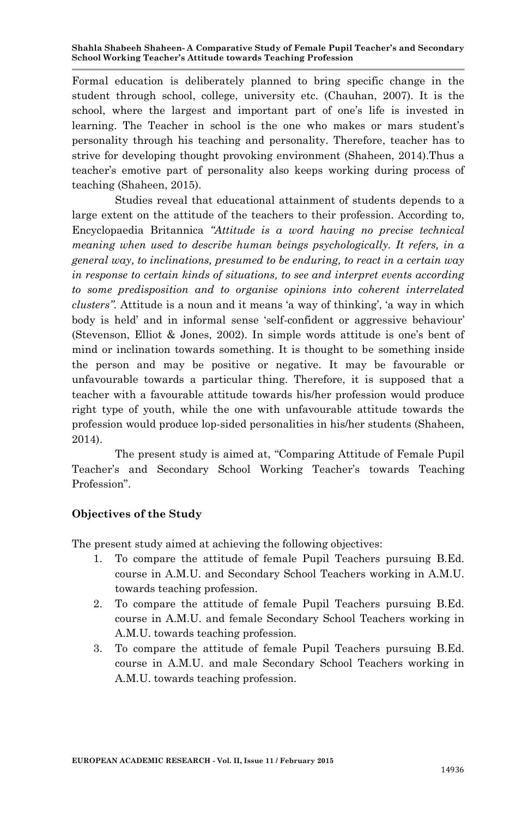Formal education is deliberately planned to bring specific change in the student through school, college, university etc. (Chauhan, 2007). It is the school, where the largest and important part of one"s life is invested in learning. The Teacher in school is the one who makes or mars student's personality through his teaching and personality. Therefore, teacher has to strive for developing thought provoking environment (Shaheen, 2014).Thus a teacher"s emotive part of personality also keeps working during process of teaching (Shaheen, 2015).

Studies reveal that educational attainment of students depends to a large extent on the attitude of the teachers to their profession. According to, Encyclopaedia Britannica *"Attitude is a word having no precise technical meaning when used to describe human beings psychologically. It refers, in a general way, to inclinations, presumed to be enduring, to react in a certain way in response to certain kinds of situations, to see and interpret events according to some predisposition and to organise opinions into coherent interrelated clusters".* Attitude is a noun and it means "a way of thinking", "a way in which body is held" and in informal sense "self-confident or aggressive behaviour" (Stevenson, Elliot & Jones, 2002). In simple words attitude is one"s bent of mind or inclination towards something. It is thought to be something inside the person and may be positive or negative. It may be favourable or unfavourable towards a particular thing. Therefore, it is supposed that a teacher with a favourable attitude towards his/her profession would produce right type of youth, while the one with unfavourable attitude towards the profession would produce lop-sided personalities in his/her students (Shaheen, 2014).

The present study is aimed at, "Comparing Attitude of Female Pupil Teacher's and Secondary School Working Teacher's towards Teaching Profession".

# **Objectives of the Study**

The present study aimed at achieving the following objectives:

- 1. To compare the attitude of female Pupil Teachers pursuing B.Ed. course in A.M.U. and Secondary School Teachers working in A.M.U. towards teaching profession.
- 2. To compare the attitude of female Pupil Teachers pursuing B.Ed. course in A.M.U. and female Secondary School Teachers working in A.M.U. towards teaching profession.
- 3. To compare the attitude of female Pupil Teachers pursuing B.Ed. course in A.M.U. and male Secondary School Teachers working in A.M.U. towards teaching profession.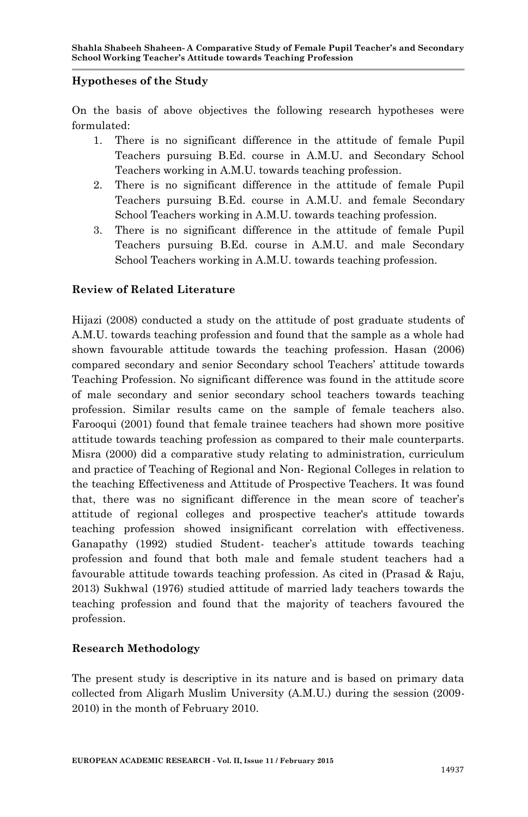## **Hypotheses of the Study**

On the basis of above objectives the following research hypotheses were formulated:

- 1. There is no significant difference in the attitude of female Pupil Teachers pursuing B.Ed. course in A.M.U. and Secondary School Teachers working in A.M.U. towards teaching profession.
- 2. There is no significant difference in the attitude of female Pupil Teachers pursuing B.Ed. course in A.M.U. and female Secondary School Teachers working in A.M.U. towards teaching profession.
- 3. There is no significant difference in the attitude of female Pupil Teachers pursuing B.Ed. course in A.M.U. and male Secondary School Teachers working in A.M.U. towards teaching profession.

# **Review of Related Literature**

Hijazi (2008) conducted a study on the attitude of post graduate students of A.M.U. towards teaching profession and found that the sample as a whole had shown favourable attitude towards the teaching profession. Hasan (2006) compared secondary and senior Secondary school Teachers" attitude towards Teaching Profession. No significant difference was found in the attitude score of male secondary and senior secondary school teachers towards teaching profession. Similar results came on the sample of female teachers also. Farooqui (2001) found that female trainee teachers had shown more positive attitude towards teaching profession as compared to their male counterparts. Misra (2000) did a comparative study relating to administration, curriculum and practice of Teaching of Regional and Non- Regional Colleges in relation to the teaching Effectiveness and Attitude of Prospective Teachers. It was found that, there was no significant difference in the mean score of teacher"s attitude of regional colleges and prospective teacher's attitude towards teaching profession showed insignificant correlation with effectiveness. Ganapathy (1992) studied Student- teacher"s attitude towards teaching profession and found that both male and female student teachers had a favourable attitude towards teaching profession. As cited in (Prasad & Raju, 2013) Sukhwal (1976) studied attitude of married lady teachers towards the teaching profession and found that the majority of teachers favoured the profession.

# **Research Methodology**

The present study is descriptive in its nature and is based on primary data collected from Aligarh Muslim University (A.M.U.) during the session (2009- 2010) in the month of February 2010.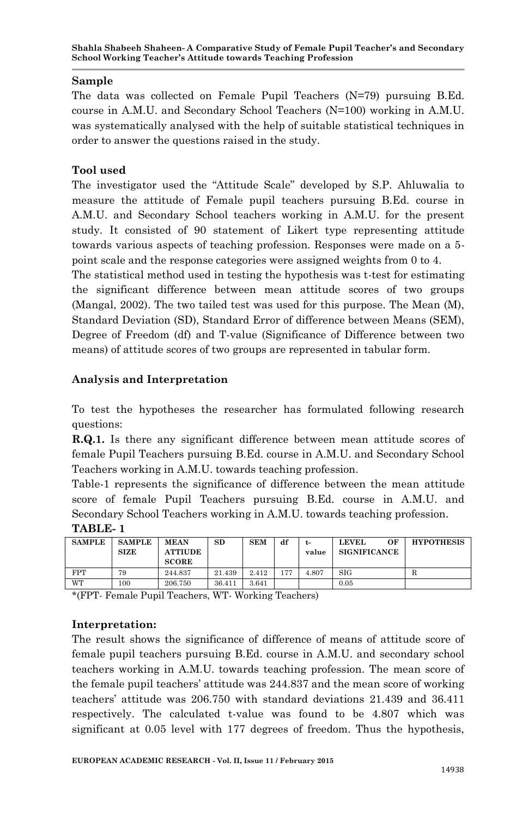## **Sample**

The data was collected on Female Pupil Teachers (N=79) pursuing B.Ed. course in A.M.U. and Secondary School Teachers (N=100) working in A.M.U. was systematically analysed with the help of suitable statistical techniques in order to answer the questions raised in the study.

# **Tool used**

The investigator used the "Attitude Scale" developed by S.P. Ahluwalia to measure the attitude of Female pupil teachers pursuing B.Ed. course in A.M.U. and Secondary School teachers working in A.M.U. for the present study. It consisted of 90 statement of Likert type representing attitude towards various aspects of teaching profession. Responses were made on a 5 point scale and the response categories were assigned weights from 0 to 4. The statistical method used in testing the hypothesis was t-test for estimating the significant difference between mean attitude scores of two groups (Mangal, 2002). The two tailed test was used for this purpose. The Mean (M), Standard Deviation (SD), Standard Error of difference between Means (SEM), Degree of Freedom (df) and T-value (Significance of Difference between two means) of attitude scores of two groups are represented in tabular form.

## **Analysis and Interpretation**

To test the hypotheses the researcher has formulated following research questions:

**R.Q.1.** Is there any significant difference between mean attitude scores of female Pupil Teachers pursuing B.Ed. course in A.M.U. and Secondary School Teachers working in A.M.U. towards teaching profession.

Table-1 represents the significance of difference between the mean attitude score of female Pupil Teachers pursuing B.Ed. course in A.M.U. and Secondary School Teachers working in A.M.U. towards teaching profession.

| TABLE- |  |
|--------|--|
|--------|--|

| <b>SAMPLE</b> | <b>SAMPLE</b><br><b>SIZE</b> | <b>MEAN</b><br><b>ATTIUDE</b><br><b>SCORE</b> | <b>SD</b> | <b>SEM</b> | df  | t-<br>value | <b>LEVEL</b><br>ОF<br><b>SIGNIFICANCE</b> | <b>HYPOTHESIS</b> |
|---------------|------------------------------|-----------------------------------------------|-----------|------------|-----|-------------|-------------------------------------------|-------------------|
| <b>FPT</b>    | 79                           | 244.837                                       | 21.439    | 2.412      | 177 | 4.807       | <b>SIG</b>                                | R                 |
| <b>WT</b>     | 100                          | 206.750                                       | 36.411    | 3.641      |     |             | 0.05                                      |                   |

\*(FPT- Female Pupil Teachers, WT- Working Teachers)

# **Interpretation:**

The result shows the significance of difference of means of attitude score of female pupil teachers pursuing B.Ed. course in A.M.U. and secondary school teachers working in A.M.U. towards teaching profession. The mean score of the female pupil teachers" attitude was 244.837 and the mean score of working teachers" attitude was 206.750 with standard deviations 21.439 and 36.411 respectively. The calculated t-value was found to be 4.807 which was significant at 0.05 level with 177 degrees of freedom. Thus the hypothesis,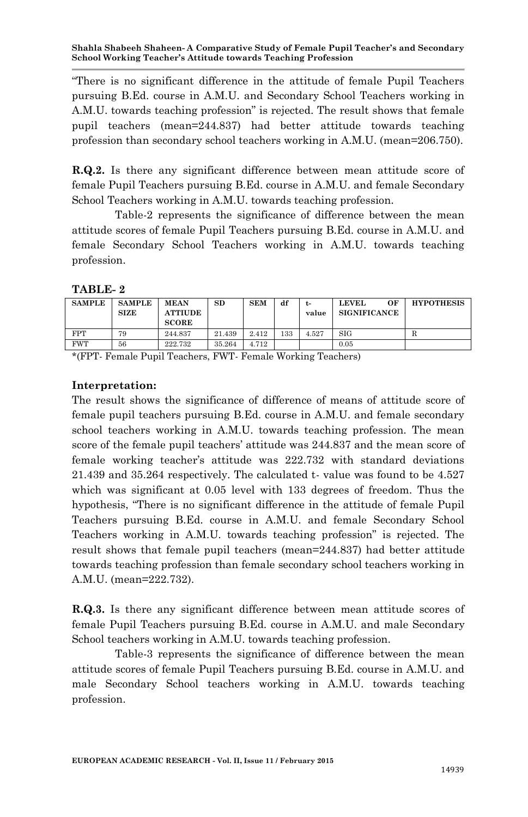**Shahla Shabeeh Shaheen- A Comparative Study of Female Pupil Teacher's and Secondary School Working Teacher's Attitude towards Teaching Profession**

"There is no significant difference in the attitude of female Pupil Teachers pursuing B.Ed. course in A.M.U. and Secondary School Teachers working in A.M.U. towards teaching profession" is rejected. The result shows that female pupil teachers (mean=244.837) had better attitude towards teaching profession than secondary school teachers working in A.M.U. (mean=206.750).

**R.Q.2.** Is there any significant difference between mean attitude score of female Pupil Teachers pursuing B.Ed. course in A.M.U. and female Secondary School Teachers working in A.M.U. towards teaching profession.

Table-2 represents the significance of difference between the mean attitude scores of female Pupil Teachers pursuing B.Ed. course in A.M.U. and female Secondary School Teachers working in A.M.U. towards teaching profession.

| TABLE- |  |  |  |
|--------|--|--|--|
|--------|--|--|--|

| <b>SAMPLE</b> | <b>SAMPLE</b><br><b>SIZE</b> | <b>MEAN</b><br><b>ATTIUDE</b><br><b>SCORE</b> | <b>SD</b> | <b>SEM</b> | df  | t-<br>value | OF<br><b>LEVEL</b><br><b>SIGNIFICANCE</b> | <b>HYPOTHESIS</b> |
|---------------|------------------------------|-----------------------------------------------|-----------|------------|-----|-------------|-------------------------------------------|-------------------|
| <b>FPT</b>    | 79                           | 244.837                                       | 21.439    | 2.412      | 133 | 4.527       | SIG                                       |                   |
| <b>FWT</b>    | 56                           | 222.732                                       | 35.264    | 4.712      |     |             | 0.05                                      |                   |

\*(FPT- Female Pupil Teachers, FWT- Female Working Teachers)

#### **Interpretation:**

The result shows the significance of difference of means of attitude score of female pupil teachers pursuing B.Ed. course in A.M.U. and female secondary school teachers working in A.M.U. towards teaching profession. The mean score of the female pupil teachers" attitude was 244.837 and the mean score of female working teacher"s attitude was 222.732 with standard deviations 21.439 and 35.264 respectively. The calculated t- value was found to be 4.527 which was significant at 0.05 level with 133 degrees of freedom. Thus the hypothesis, "There is no significant difference in the attitude of female Pupil Teachers pursuing B.Ed. course in A.M.U. and female Secondary School Teachers working in A.M.U. towards teaching profession" is rejected. The result shows that female pupil teachers (mean=244.837) had better attitude towards teaching profession than female secondary school teachers working in A.M.U. (mean=222.732).

**R.Q.3.** Is there any significant difference between mean attitude scores of female Pupil Teachers pursuing B.Ed. course in A.M.U. and male Secondary School teachers working in A.M.U. towards teaching profession.

Table-3 represents the significance of difference between the mean attitude scores of female Pupil Teachers pursuing B.Ed. course in A.M.U. and male Secondary School teachers working in A.M.U. towards teaching profession.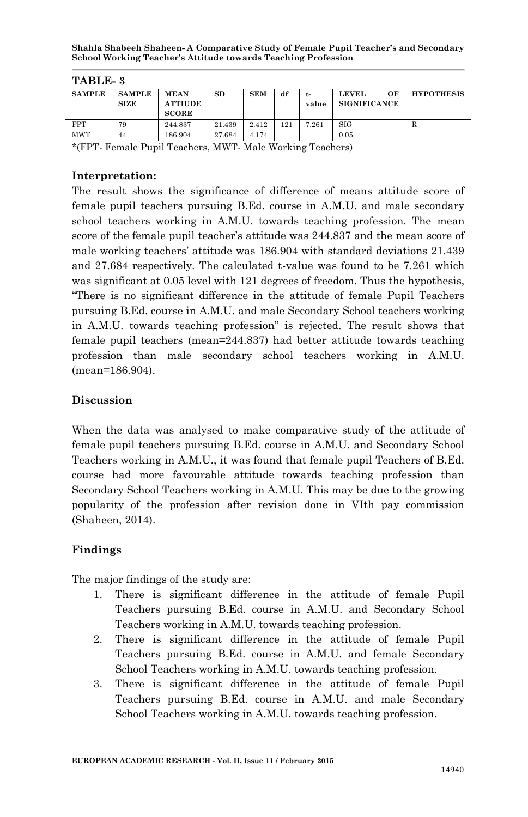**Shahla Shabeeh Shaheen- A Comparative Study of Female Pupil Teacher's and Secondary School Working Teacher's Attitude towards Teaching Profession**

| TABLE- |  |
|--------|--|
|--------|--|

| <b>SAMPLE</b> | <b>SAMPLE</b><br><b>SIZE</b> | <b>MEAN</b><br><b>ATTIUDE</b> | SD     | <b>SEM</b> | df  | t-<br>value | <b>LEVEL</b><br>ОF<br><b>SIGNIFICANCE</b> | <b>HYPOTHESIS</b> |
|---------------|------------------------------|-------------------------------|--------|------------|-----|-------------|-------------------------------------------|-------------------|
| <b>FPT</b>    | 79                           | <b>SCORE</b><br>244.837       | 21.439 | 2.412      | 121 | 7.261       | <b>SIG</b>                                |                   |
| <b>MWT</b>    | 44                           | 186.904                       | 27.684 | 4.174      |     |             | 0.05                                      |                   |

\*(FPT- Female Pupil Teachers, MWT- Male Working Teachers)

#### **Interpretation:**

The result shows the significance of difference of means attitude score of female pupil teachers pursuing B.Ed. course in A.M.U. and male secondary school teachers working in A.M.U. towards teaching profession. The mean score of the female pupil teacher"s attitude was 244.837 and the mean score of male working teachers' attitude was 186.904 with standard deviations 21.439 and 27.684 respectively. The calculated t-value was found to be 7.261 which was significant at 0.05 level with 121 degrees of freedom. Thus the hypothesis, "There is no significant difference in the attitude of female Pupil Teachers pursuing B.Ed. course in A.M.U. and male Secondary School teachers working in A.M.U. towards teaching profession" is rejected. The result shows that female pupil teachers (mean=244.837) had better attitude towards teaching profession than male secondary school teachers working in A.M.U. (mean=186.904).

## **Discussion**

When the data was analysed to make comparative study of the attitude of female pupil teachers pursuing B.Ed. course in A.M.U. and Secondary School Teachers working in A.M.U., it was found that female pupil Teachers of B.Ed. course had more favourable attitude towards teaching profession than Secondary School Teachers working in A.M.U. This may be due to the growing popularity of the profession after revision done in VIth pay commission (Shaheen, 2014).

#### **Findings**

The major findings of the study are:

- 1. There is significant difference in the attitude of female Pupil Teachers pursuing B.Ed. course in A.M.U. and Secondary School Teachers working in A.M.U. towards teaching profession.
- 2. There is significant difference in the attitude of female Pupil Teachers pursuing B.Ed. course in A.M.U. and female Secondary School Teachers working in A.M.U. towards teaching profession.
- 3. There is significant difference in the attitude of female Pupil Teachers pursuing B.Ed. course in A.M.U. and male Secondary School Teachers working in A.M.U. towards teaching profession.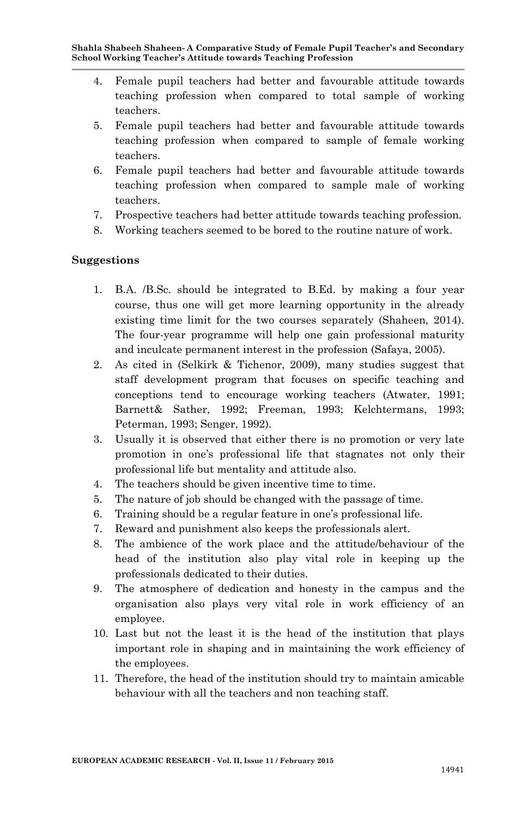- 4. Female pupil teachers had better and favourable attitude towards teaching profession when compared to total sample of working teachers.
- 5. Female pupil teachers had better and favourable attitude towards teaching profession when compared to sample of female working teachers.
- 6. Female pupil teachers had better and favourable attitude towards teaching profession when compared to sample male of working teachers.
- 7. Prospective teachers had better attitude towards teaching profession.
- 8. Working teachers seemed to be bored to the routine nature of work.

## **Suggestions**

- 1. B.A. /B.Sc. should be integrated to B.Ed. by making a four year course, thus one will get more learning opportunity in the already existing time limit for the two courses separately (Shaheen, 2014). The four-year programme will help one gain professional maturity and inculcate permanent interest in the profession (Safaya, 2005).
- 2. As cited in (Selkirk & Tichenor, 2009), many studies suggest that staff development program that focuses on specific teaching and conceptions tend to encourage working teachers (Atwater, 1991; Barnett& Sather, 1992; Freeman, 1993; Kelchtermans, 1993; Peterman, 1993; Senger, 1992).
- 3. Usually it is observed that either there is no promotion or very late promotion in one"s professional life that stagnates not only their professional life but mentality and attitude also.
- 4. The teachers should be given incentive time to time.
- 5. The nature of job should be changed with the passage of time.
- 6. Training should be a regular feature in one"s professional life.
- 7. Reward and punishment also keeps the professionals alert.
- 8. The ambience of the work place and the attitude/behaviour of the head of the institution also play vital role in keeping up the professionals dedicated to their duties.
- 9. The atmosphere of dedication and honesty in the campus and the organisation also plays very vital role in work efficiency of an employee.
- 10. Last but not the least it is the head of the institution that plays important role in shaping and in maintaining the work efficiency of the employees.
- 11. Therefore, the head of the institution should try to maintain amicable behaviour with all the teachers and non teaching staff.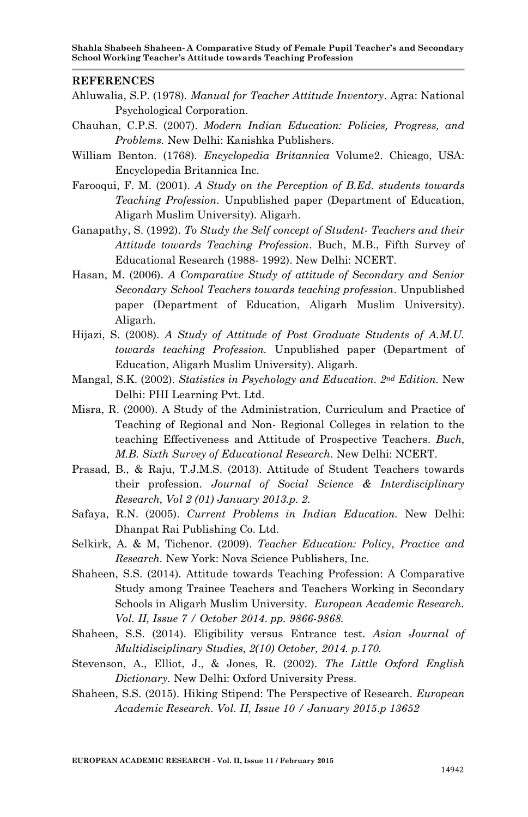**Shahla Shabeeh Shaheen- A Comparative Study of Female Pupil Teacher's and Secondary School Working Teacher's Attitude towards Teaching Profession**

#### **REFERENCES**

- Ahluwalia, S.P. (1978). *Manual for Teacher Attitude Inventory*. Agra: National Psychological Corporation.
- Chauhan, C.P.S. (2007). *Modern Indian Education: Policies, Progress, and Problems.* New Delhi: Kanishka Publishers.
- William Benton. (1768). *Encyclopedia Britannica* Volume2. Chicago, USA: Encyclopedia Britannica Inc.
- Farooqui, F. M. (2001). *A Study on the Perception of B.Ed. students towards Teaching Profession.* Unpublished paper (Department of Education, Aligarh Muslim University). Aligarh.
- Ganapathy, S. (1992). *To Study the Self concept of Student- Teachers and their Attitude towards Teaching Profession*. Buch, M.B., Fifth Survey of Educational Research (1988- 1992). New Delhi: NCERT.
- Hasan, M. (2006). *A Comparative Study of attitude of Secondary and Senior Secondary School Teachers towards teaching profession*. Unpublished paper (Department of Education, Aligarh Muslim University). Aligarh.
- Hijazi, S. (2008). *A Study of Attitude of Post Graduate Students of A.M.U. towards teaching Profession.* Unpublished paper (Department of Education, Aligarh Muslim University). Aligarh.
- Mangal, S.K. (2002). *Statistics in Psychology and Education. 2nd Edition.* New Delhi: PHI Learning Pvt. Ltd.
- Misra, R. (2000). A Study of the Administration, Curriculum and Practice of Teaching of Regional and Non- Regional Colleges in relation to the teaching Effectiveness and Attitude of Prospective Teachers. *Buch, M.B. Sixth Survey of Educational Research*. New Delhi: NCERT.
- Prasad, B., & Raju, T.J.M.S. (2013). Attitude of Student Teachers towards their profession. *Journal of Social Science & Interdisciplinary Research, Vol 2 (01) January 2013.p. 2.*
- Safaya, R.N. (2005). *Current Problems in Indian Education.* New Delhi: Dhanpat Rai Publishing Co. Ltd.
- Selkirk, A. & M, Tichenor. (2009). *Teacher Education: Policy, Practice and Research.* New York: Nova Science Publishers, Inc.
- Shaheen, S.S. (2014). Attitude towards Teaching Profession: A Comparative Study among Trainee Teachers and Teachers Working in Secondary Schools in Aligarh Muslim University. *European Academic Research. Vol. II, Issue 7 / October 2014*. *pp. 9866-9868.*
- Shaheen, S.S. (2014). Eligibility versus Entrance test*. Asian Journal of Multidisciplinary Studies, 2(10) October, 2014. p.170.*
- Stevenson, A., Elliot, J., & Jones, R. (2002). *The Little Oxford English Dictionary.* New Delhi: Oxford University Press.
- Shaheen, S.S. (2015). Hiking Stipend: The Perspective of Research. *European Academic Research. Vol. II, Issue 10 / January 2015*.*p 13652*